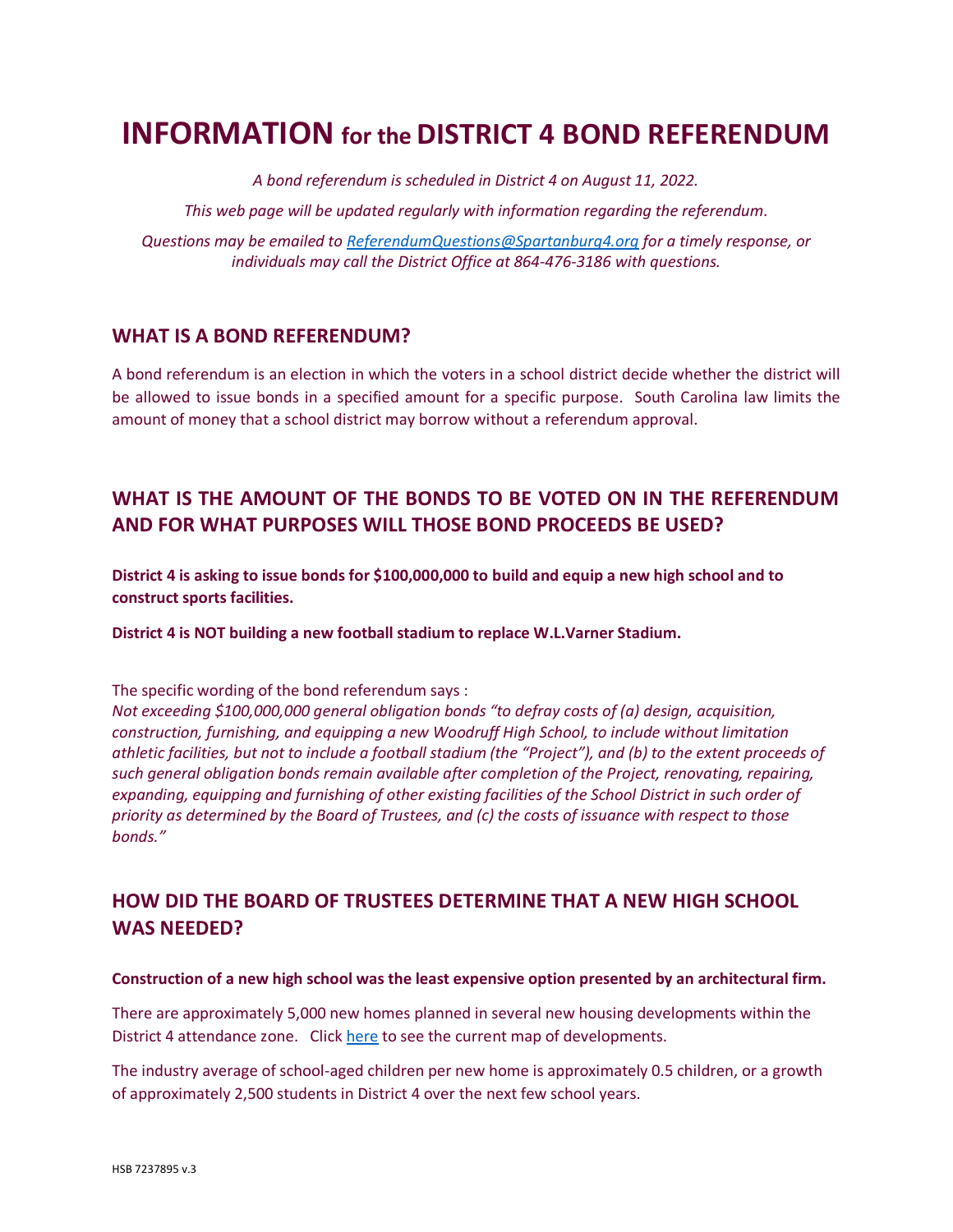# **INFORMATION for the DISTRICT 4 BOND REFERENDUM**

*A bond referendum is scheduled in District 4 on August 11, 2022. This web page will be updated regularly with information regarding the referendum. Questions may be emailed to [ReferendumQuestions@Spartanburg4.org](mailto:ReferendumQuestions@Spartanburg4.org) for a timely response, or individuals may call the District Office at 864-476-3186 with questions.*

## **WHAT IS A BOND REFERENDUM?**

A bond referendum is an election in which the voters in a school district decide whether the district will be allowed to issue bonds in a specified amount for a specific purpose. South Carolina law limits the amount of money that a school district may borrow without a referendum approval.

# **WHAT IS THE AMOUNT OF THE BONDS TO BE VOTED ON IN THE REFERENDUM AND FOR WHAT PURPOSES WILL THOSE BOND PROCEEDS BE USED?**

**District 4 is asking to issue bonds for \$100,000,000 to build and equip a new high school and to construct sports facilities.** 

**District 4 is NOT building a new football stadium to replace W.L.Varner Stadium.**

The specific wording of the bond referendum says :

*Not exceeding \$100,000,000 general obligation bonds "to defray costs of (a) design, acquisition, construction, furnishing, and equipping a new Woodruff High School, to include without limitation athletic facilities, but not to include a football stadium (the "Project"), and (b) to the extent proceeds of such general obligation bonds remain available after completion of the Project, renovating, repairing, expanding, equipping and furnishing of other existing facilities of the School District in such order of priority as determined by the Board of Trustees, and (c) the costs of issuance with respect to those bonds."*

# **HOW DID THE BOARD OF TRUSTEES DETERMINE THAT A NEW HIGH SCHOOL WAS NEEDED?**

#### **Construction of a new high school was the least expensive option presented by an architectural firm.**

There are approximately 5,000 new homes planned in several new housing developments within the District 4 attendance zone. Clic[k here](https://cdn5-ss8.sharpschool.com/UserFiles/Servers/Server_434398/File/Referendum/New%20Housing%20Project%20Map%20-%20updated%205-13-22.pdf) to see the current map of developments.

The industry average of school-aged children per new home is approximately 0.5 children, or a growth of approximately 2,500 students in District 4 over the next few school years.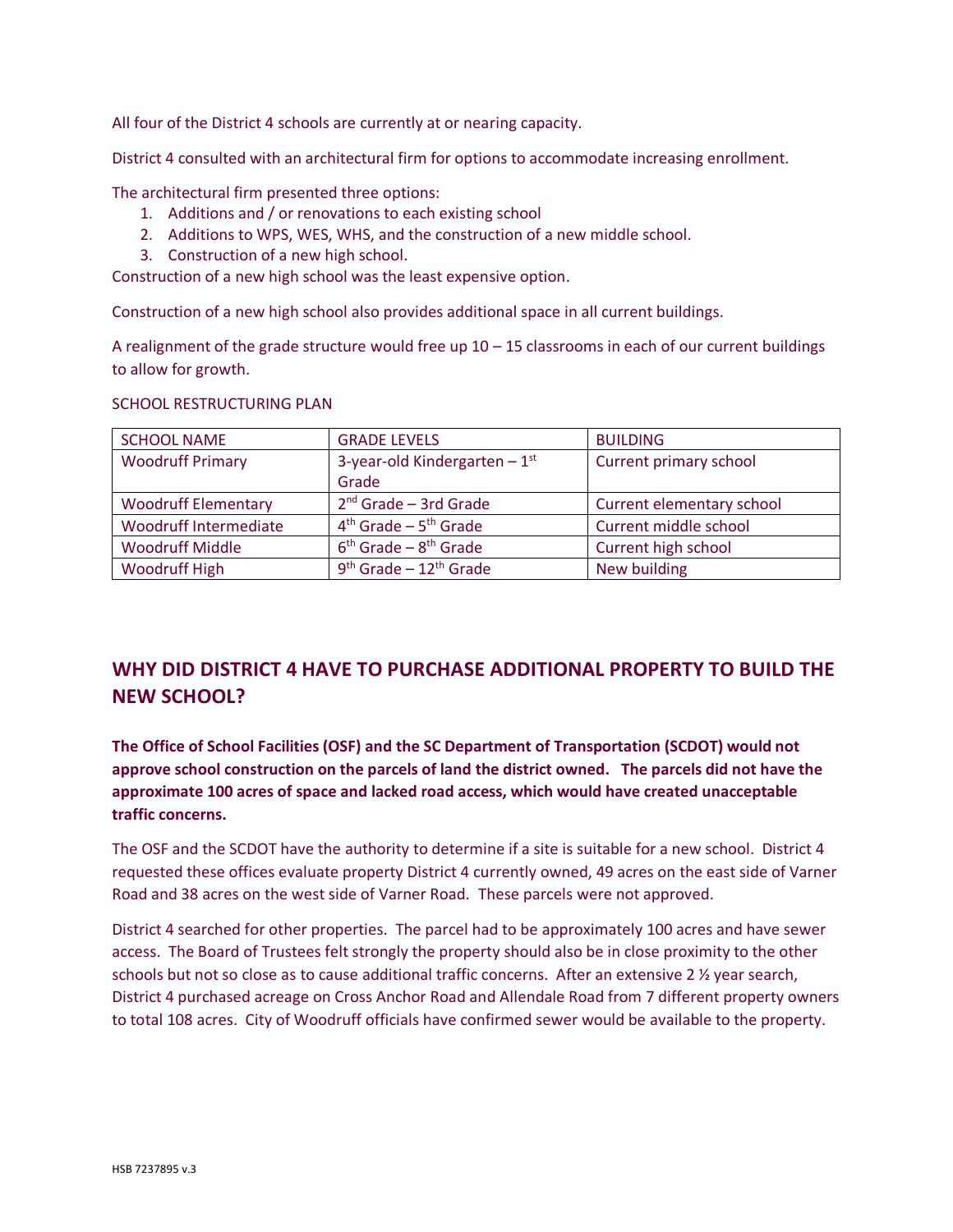All four of the District 4 schools are currently at or nearing capacity.

District 4 consulted with an architectural firm for options to accommodate increasing enrollment.

The architectural firm presented three options:

- 1. Additions and / or renovations to each existing school
- 2. Additions to WPS, WES, WHS, and the construction of a new middle school.
- 3. Construction of a new high school.

Construction of a new high school was the least expensive option.

Construction of a new high school also provides additional space in all current buildings.

A realignment of the grade structure would free up  $10 - 15$  classrooms in each of our current buildings to allow for growth.

SCHOOL RESTRUCTURING PLAN

| <b>SCHOOL NAME</b>           | <b>GRADE LEVELS</b>                  | <b>BUILDING</b>           |
|------------------------------|--------------------------------------|---------------------------|
| <b>Woodruff Primary</b>      | 3-year-old Kindergarten $-1st$       | Current primary school    |
|                              | Grade                                |                           |
| <b>Woodruff Elementary</b>   | $2nd$ Grade – 3rd Grade              | Current elementary school |
| <b>Woodruff Intermediate</b> | $4th$ Grade – $5th$ Grade            | Current middle school     |
| <b>Woodruff Middle</b>       | $6th$ Grade – $8th$ Grade            | Current high school       |
| <b>Woodruff High</b>         | $9th$ Grade - 12 <sup>th</sup> Grade | New building              |

# **WHY DID DISTRICT 4 HAVE TO PURCHASE ADDITIONAL PROPERTY TO BUILD THE NEW SCHOOL?**

**The Office of School Facilities (OSF) and the SC Department of Transportation (SCDOT) would not approve school construction on the parcels of land the district owned. The parcels did not have the approximate 100 acres of space and lacked road access, which would have created unacceptable traffic concerns.** 

The OSF and the SCDOT have the authority to determine if a site is suitable for a new school. District 4 requested these offices evaluate property District 4 currently owned, 49 acres on the east side of Varner Road and 38 acres on the west side of Varner Road. These parcels were not approved.

District 4 searched for other properties. The parcel had to be approximately 100 acres and have sewer access. The Board of Trustees felt strongly the property should also be in close proximity to the other schools but not so close as to cause additional traffic concerns. After an extensive 2 % year search, District 4 purchased acreage on Cross Anchor Road and Allendale Road from 7 different property owners to total 108 acres. City of Woodruff officials have confirmed sewer would be available to the property.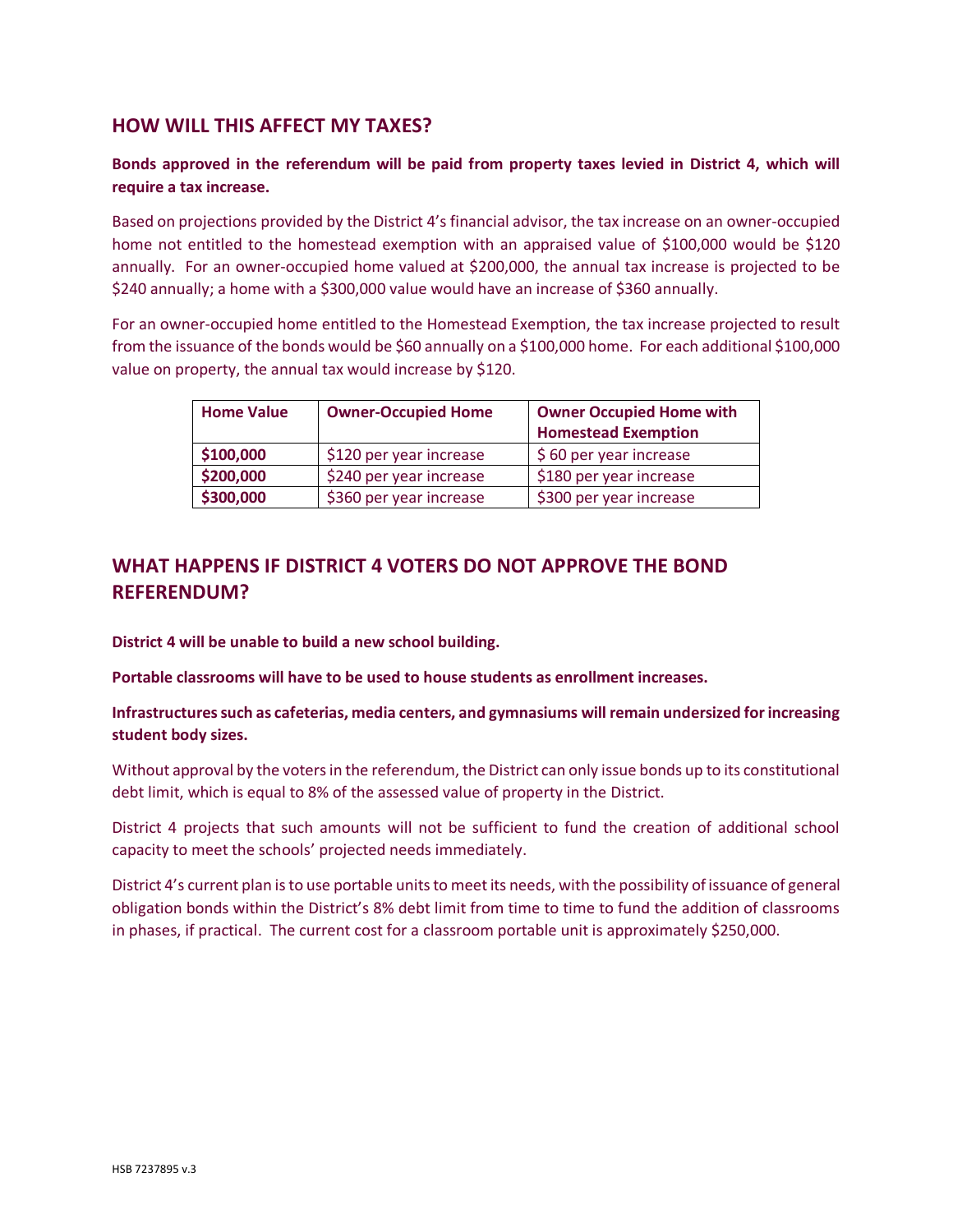## **HOW WILL THIS AFFECT MY TAXES?**

#### **Bonds approved in the referendum will be paid from property taxes levied in District 4, which will require a tax increase.**

Based on projections provided by the District 4's financial advisor, the tax increase on an owner-occupied home not entitled to the homestead exemption with an appraised value of \$100,000 would be \$120 annually. For an owner-occupied home valued at \$200,000, the annual tax increase is projected to be \$240 annually; a home with a \$300,000 value would have an increase of \$360 annually.

For an owner-occupied home entitled to the Homestead Exemption, the tax increase projected to result from the issuance of the bonds would be \$60 annually on a \$100,000 home. For each additional \$100,000 value on property, the annual tax would increase by \$120.

| <b>Home Value</b> | <b>Owner-Occupied Home</b> | <b>Owner Occupied Home with</b> |
|-------------------|----------------------------|---------------------------------|
|                   |                            | <b>Homestead Exemption</b>      |
| \$100,000         | \$120 per year increase    | \$60 per year increase          |
| \$200,000         | \$240 per year increase    | \$180 per year increase         |
| \$300,000         | \$360 per year increase    | \$300 per year increase         |

## **WHAT HAPPENS IF DISTRICT 4 VOTERS DO NOT APPROVE THE BOND REFERENDUM?**

**District 4 will be unable to build a new school building.** 

**Portable classrooms will have to be used to house students as enrollment increases.** 

**Infrastructures such as cafeterias, media centers, and gymnasiums will remain undersized for increasing student body sizes.** 

Without approval by the voters in the referendum, the District can only issue bonds up to its constitutional debt limit, which is equal to 8% of the assessed value of property in the District.

District 4 projects that such amounts will not be sufficient to fund the creation of additional school capacity to meet the schools' projected needs immediately.

District 4's current plan isto use portable units to meet its needs, with the possibility of issuance of general obligation bonds within the District's 8% debt limit from time to time to fund the addition of classrooms in phases, if practical. The current cost for a classroom portable unit is approximately \$250,000.